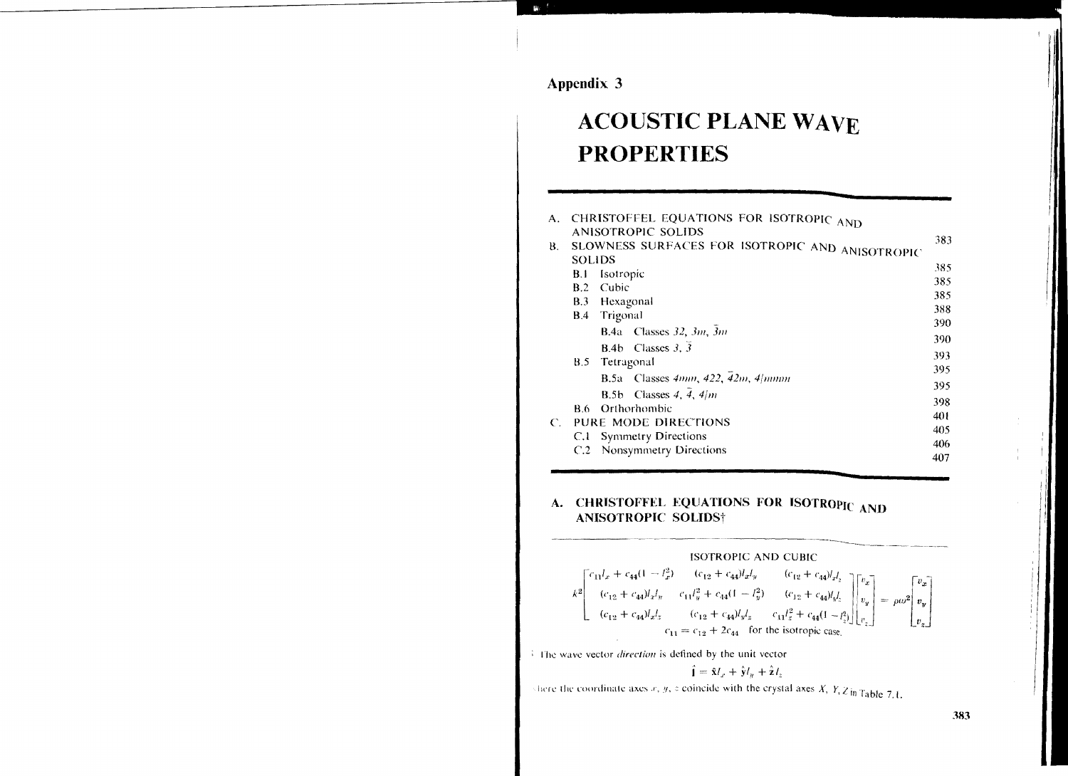Appendix 3

# **ACOUSTIC PLANE WAVE PROPERTIES**

| А.                    |                                                 | CHRISTOFFEL EQUATIONS FOR ISOTROPIC AND             |     |
|-----------------------|-------------------------------------------------|-----------------------------------------------------|-----|
|                       |                                                 | ANISOTROPIC SOLIDS                                  | 383 |
| В.                    | SLOWNESS SURFACES FOR ISOTROPIC AND ANISOTROPIC |                                                     |     |
|                       | <b>SOLIDS</b>                                   |                                                     | 385 |
|                       | B.I                                             | Isotropic                                           | 385 |
|                       | B.2                                             | Cubic                                               |     |
|                       | B.3                                             | Hexagonal                                           | 385 |
|                       | B.4                                             | Trigonal                                            | 388 |
|                       |                                                 | <b>B.4a</b> Classes 32, 3m, 3m                      | 390 |
|                       |                                                 |                                                     | 390 |
|                       |                                                 | B.4b Classes 3, 3                                   | 393 |
|                       | <b>B.5</b>                                      | Tetragonal                                          |     |
|                       |                                                 | <b>B.5a</b> Classes $4mm$ , $422$ , $42m$ , $4/mmm$ | 395 |
|                       |                                                 |                                                     | 395 |
|                       |                                                 | Classes 4, $\overline{4}$ , 4/m<br>B.5b             | 398 |
|                       | R.6.                                            | Orthorhombic                                        | 401 |
| $\mathcal{C}_{\cdot}$ | PURE MODE DIRECTIONS                            |                                                     | 405 |
|                       | C.I                                             | <b>Symmetry Directions</b>                          |     |
|                       | C.2                                             | Nonsymmetry Directions                              | 406 |
|                       |                                                 |                                                     | 407 |

## A. CHRISTOFFEL EQUATIONS FOR ISOTROPIC AND **ANISOTROPIC SOLIDS†**



The wave vector direction is defined by the unit vector

$$
\mathbf{\hat{i}} = \mathbf{\hat{x}}I_x + \mathbf{\hat{y}}I_y + \mathbf{\hat{z}}I_y
$$

shere the coordinate axes  $x, y, z$  coincide with the crystal axes  $X, Y, Z$  in Table 7.1.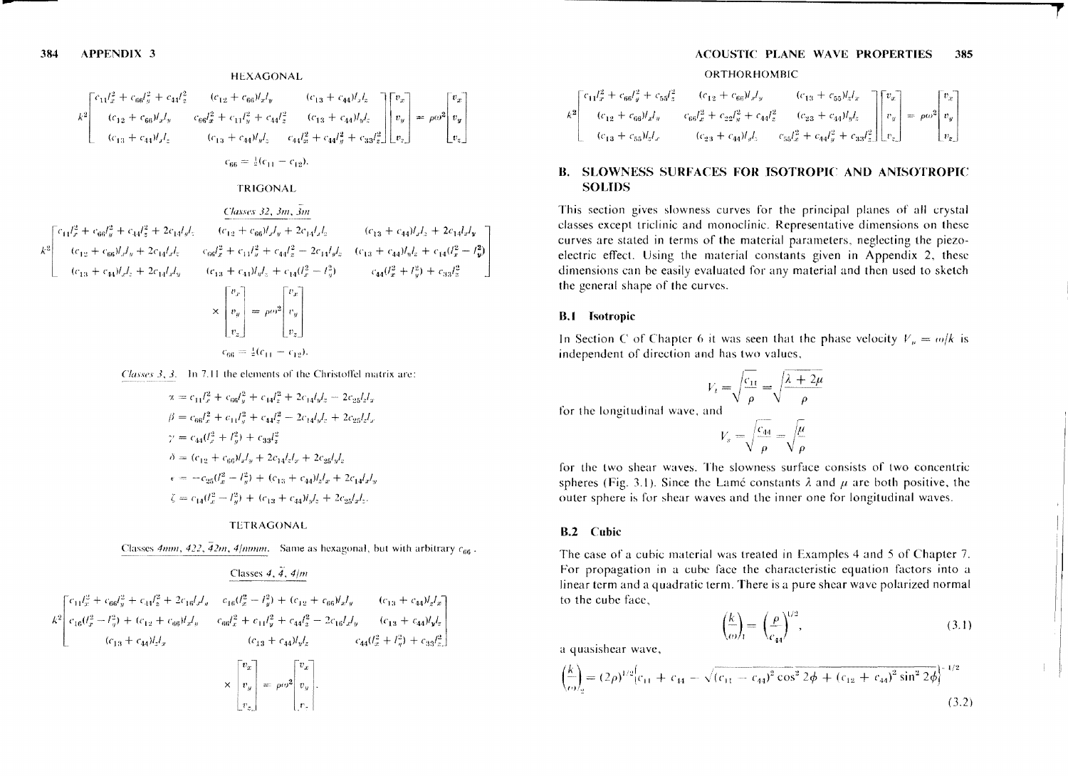## **HEXAGONAL**

$$
k^2 \begin{bmatrix} c_{11}l_x^2 + c_{66}l_y^2 + c_{44}l_z^2 & (c_{12} + c_{66})l_xl_y & (c_{13} + c_{44})l_xl_z \\ (c_{12} + c_{66})l_xl_y & c_{66}l_x^2 + c_{11}l_y^2 + c_{44}l_z^2 & (c_{13} + c_{44})l_yl_z \\ (c_{13} + c_{44})l_xl_z & (c_{13} + c_{44})l_yl_z & c_{44}l_x^2 + c_{44}l_y^2 + c_{33}l_z^2 \end{bmatrix} \begin{bmatrix} v_x \\ v_y \\ v_z \end{bmatrix} = \rho\omega^2 \begin{bmatrix} v_x \\ v_y \\ v_z \end{bmatrix}
$$
\n
$$
c_{66} = \frac{1}{2}(c_{11} - c_{12}).
$$

**TRIGONAL** 

$$
k^2 \begin{bmatrix} c_{11}l_x^2 + c_{66}l_y^2 + c_{44}l_z^2 + 2c_{14}l_yl_z & (c_{12} + c_{66})l_xl_y + 2c_{14}l_xl_z & (c_{13} + c_{44})l_xl_z + 2c_{14}l_xl_y \\ (c_{12} + c_{66})l_xl_y + 2c_{14}l_xl_z & c_{66}l_x^2 + c_{14}l_y^2 + c_{44}l_z^2 - 2c_{14}l_yl_z & (c_{13} + c_{44})l_yl_z + c_{14}(l_x^2 - l_y^2) \\ (c_{13} + c_{44})l_xl_z + 2c_{14}l_xl_y & (c_{13} + c_{44})l_yl_z + c_{14}(l_x^2 - l_y^2) & c_{44}(l_x^2 + l_y^2) + c_{33}l_z^2 \end{bmatrix}
$$

$$
\times \begin{bmatrix} v_x \\ v_y \\ v_z \end{bmatrix} = \rho\omega^2 \begin{bmatrix} v_x \\ v_y \\ v_z \end{bmatrix}
$$

$$
c_{66} = \frac{1}{2}(c_{11} - c_{12}).
$$

Classes 3, 3. In 7.11 the elements of the Christoffel matrix are:

$$
\begin{split} &\alpha = c_{11}l_x^2 + c_{66}l_y^2 + c_{14}l_z^2 + 2c_{14}l_yl_z - 2c_{25}l_zl_x \\ &\beta = c_{66}l_x^2 + c_{11}l_y^2 + c_{44}l_z^2 - 2c_{14}l_yl_z + 2c_{25}l_zl_x \\ &\gamma = c_{44}(l_x^2 + l_y^2) + c_{33}l_z^2 \\ &\delta = (c_{12} + c_{66})l_xl_y + 2c_{14}l_zl_x + 2c_{25}l_yl_z \\ &\epsilon = -c_{25}(l_x^2 - l_y^2) + (c_{13} + c_{44})l_zl_x + 2c_{14}l_xl_y \\ &\zeta = c_{14}(l_x^2 - l_y^2) + (c_{13} + c_{44})l_yl_z + 2c_{25}l_xl_z. \end{split}
$$

#### **TETRAGONAL**

Classes 4mm, 422,  $\frac{7}{4}$ 2m, 4/mmm. Same as hexagonal, but with arbitrary  $c_{66}$ .

 $\mid r_{\star} \mid$ 

#### Classes 4,  $\overline{4}$ , 4/m

$$
k^2 \begin{bmatrix} c_{11}l_x^2 + c_{66}l_y^2 + c_{44}l_z^2 + 2c_{16}l_xl_y & c_{16}(l_x^2 - l_y^2) + (c_{12} + c_{66})l_xl_y & (c_{13} + c_{44})l_zl_x \\ c_{16}(l_x^2 - l_y^2) + (c_{12} + c_{66})l_xl_y & c_{66}l_x^2 + c_{11}l_y^2 + c_{44}l_z^2 - 2c_{16}l_xl_y & (c_{13} + c_{44})l_yl_z \\ (c_{13} + c_{44})l_zl_x & (c_{13} + c_{44})l_yl_z & c_{44}(l_x^2 + l_y^2) + c_{33}l_z^2 \end{bmatrix}
$$

#### **ACOUSTIC PLANE WAVE PROPERTIES** 385 ORTHORHOMBIC

$$
k^2\begin{bmatrix}c_{11}l_x^2+c_{66}l_y^2+c_{55}l_z^2 & (c_{12}+c_{66})l_xl_y & (c_{13}+c_{55})l_zl_x \\ (c_{12}+c_{66})l_xl_y & c_{66}l_x^2+c_{22}l_y^2+c_{44}l_z^2 & (c_{23}+c_{44})l_yl_z \\ (c_{13}+c_{55})l_zl_x & (c_{23}+c_{44})l_yl_z & c_{55}l_z^2+c_{44}l_y^2+c_{33}l_z^2 \end{bmatrix}\begin{bmatrix}v_x \\ v_y \\ v_z\end{bmatrix}=\rho\omega^2\begin{bmatrix}v_x \\ v_y \\ v_z\end{bmatrix}
$$

## **B. SLOWNESS SURFACES FOR ISOTROPIC AND ANISOTROPIC SOLIDS**

This section gives slowness curves for the principal planes of all crystal classes except triclinic and monoclinic. Representative dimensions on these curves are stated in terms of the material parameters, neglecting the piezoelectric effect. Using the material constants given in Appendix 2, these dimensions can be easily evaluated for any material and then used to sketch the general shape of the curves.

#### **B.1** Isotropic

In Section C of Chapter 6 it was seen that the phase velocity  $V_n = \omega/k$  is independent of direction and has two values,

$$
V_t = \sqrt{\frac{c_{1t}}{\rho}} = \sqrt{\frac{\lambda + 2\mu}{\rho}}
$$

for the longitudinal wave, and

 $V_s = \sqrt{\frac{c_{44}}{\rho}} = \sqrt{\frac{\mu}{\rho}}$ 

for the two shear waves. The slowness surface consists of two concentric spheres (Fig. 3.1). Since the Lamé constants  $\lambda$  and  $\mu$  are both positive, the outer sphere is for shear waves and the inner one for longitudinal waves.

#### **B.2** Cubic

The case of a cubic material was treated in Examples 4 and 5 of Chapter 7. For propagation in a cube face the characteristic equation factors into a linear term and a quadratic term. There is a pure shear wave polarized normal to the cube face.

$$
\left(\frac{k}{\omega}\right)_1 = \left(\frac{\rho}{c_{44}}\right)^{1/2},\tag{3.1}
$$

a quasishear wave,

$$
\frac{k}{\omega} = (2\rho)^{1/2} \left[ c_{11} + c_{44} - \sqrt{(c_{11} - c_{44})^2 \cos^2 2\phi + (c_{12} + c_{44})^2 \sin^2 2\phi} \right]^{-1/2}
$$
\n(3.2)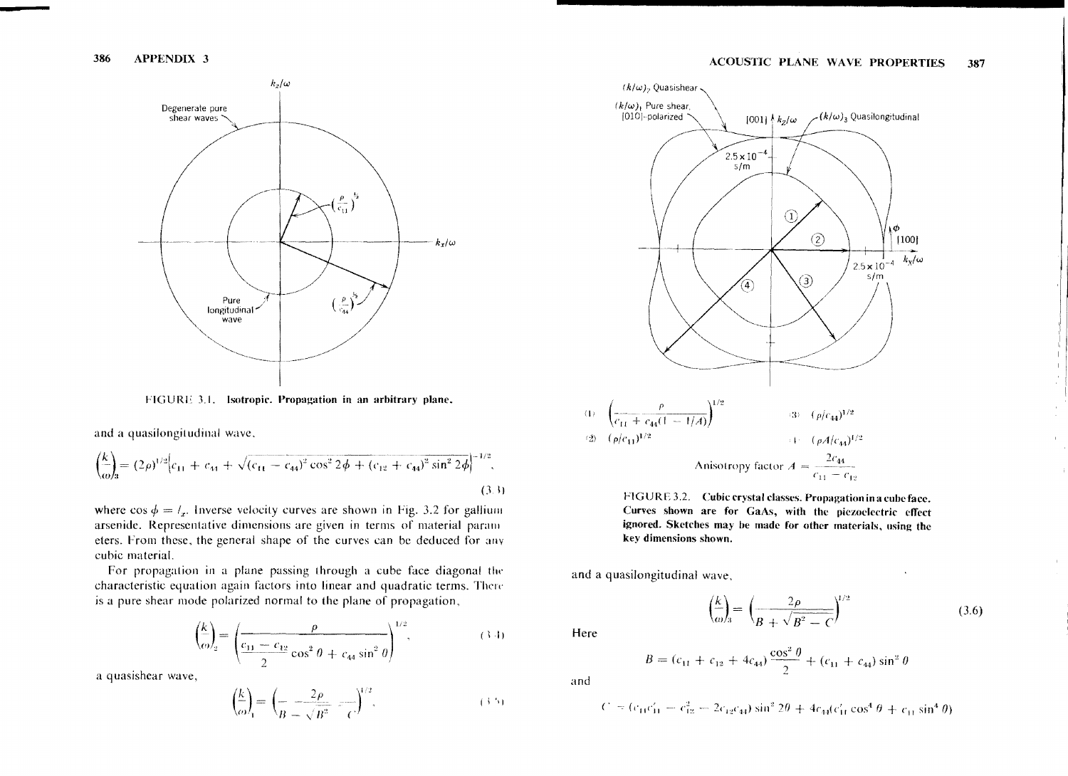

FIGURE 3.1. Isotropic. Propagation in an arbitrary plane.

and a quasilongitudinal wave,

$$
\left(\frac{k}{\omega}\right) = (2\rho)^{1/2} \left(c_{11} + c_{44} + \sqrt{(c_{11} - c_{44})^2 \cos^2 2\phi + (c_{12} + c_{44})^2 \sin^2 2\phi}\right)^{-1/2},\tag{3.3}
$$

where  $\cos \phi = l_x$ . Inverse velocity curves are shown in Fig. 3.2 for gallium arsenide. Representative dimensions are given in terms of material parameters. From these, the general shape of the curves can be deduced for any cubic material.

For propagation in a plane passing through a cube face diagonal the characteristic equation again factors into linear and quadratic terms. There is a pure shear mode polarized normal to the plane of propagation,

$$
\left(\frac{k}{\omega}\right)_2 = \left(\frac{\rho}{\frac{c_{11} - c_{12}}{2} \cos^2 \theta + c_{44} \sin^2 \theta}\right)^{1/2},\tag{3.4}
$$

a quasishear wave,

$$
\left(\frac{k}{\omega}\right)_{1} = \left(\frac{2\rho}{B - \sqrt{B^{2}}} - \frac{1}{C}\right)^{1/2},\tag{3.5}
$$



FIGURE 3.2. Cubic erystal classes. Propagation in a cube face. Curves shown are for GaAs, with the piezoelectric effect ignored. Sketches may be made for other materials, using the key dimensions shown.

and a quasilongitudinal wave,

$$
\left(\frac{k}{\omega}\right) = \left(\frac{2\rho}{B + \sqrt{B^2 - C}}\right)^{1/2} \tag{3.6}
$$

 $\mathbf{r}$ 

Here

$$
B = (c_{11} + c_{12} + 4c_{44}) \frac{\cos^2 \theta}{2} + (c_{11} + c_{44}) \sin^2 \theta
$$

and

 $\epsilon$ 

$$
c_1 = (c_{11}c_{11}^{\prime} - c_{12}^{2} - 2c_{12}c_{44})\sin^{2}2\theta + 4c_{44}(c_{11}^{\prime}\cos^{4}\theta + c_{11}\sin^{4}\theta)
$$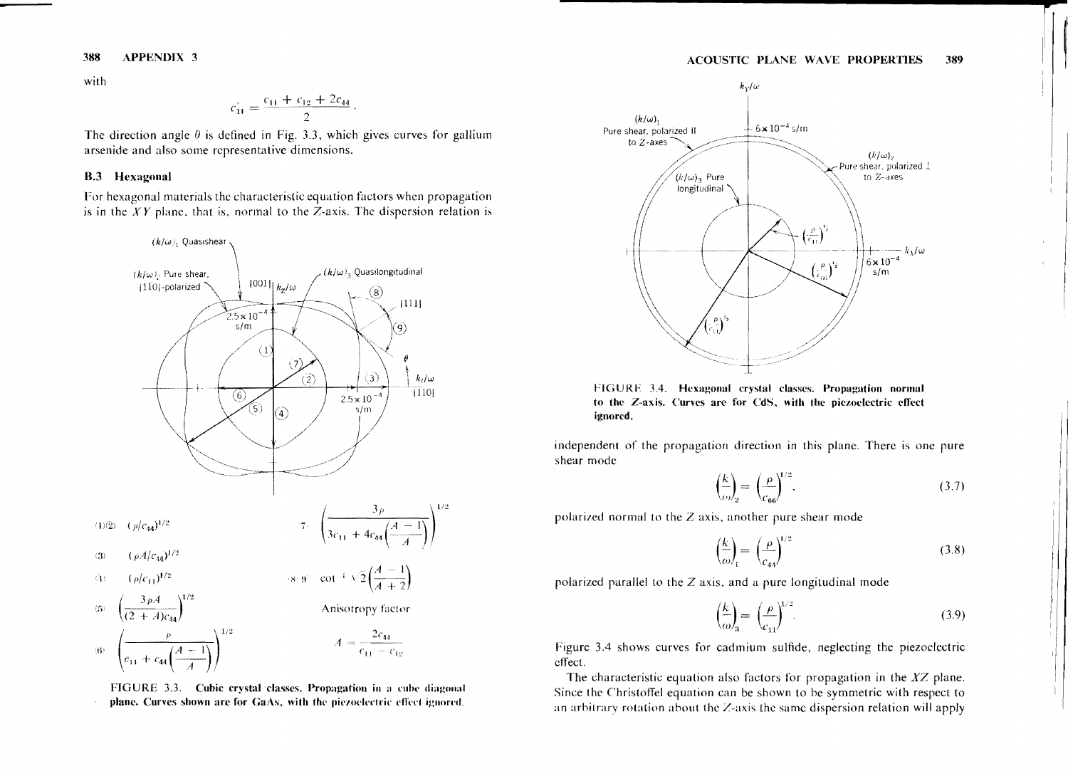with

$$
c_{11} = \frac{c_{11} + c_{12} + 2c_{44}}{2}
$$

The direction angle  $\theta$  is defined in Fig. 3.3, which gives curves for gallium arsenide and also some representative dimensions.

### **B.3** Hexagonal

For hexagonal materials the characteristic equation factors when propagation is in the  $XY$  plane, that is, normal to the Z-axis. The dispersion relation is



FIGURE 3.3. Cubic crystal classes. Propagation in a cube diagonal plane. Curves shown are for GaAs, with the piezoelectric effect ignored.



FIGURE 3.4. Hexagonal crystal classes. Propagation normal to the Z-axis. Curves are for CdS, with the piezoelectric effect ignored.

independent of the propagation direction in this plane. There is one pure shear mode

$$
\left(\frac{k}{\omega}\right)_2 = \left(\frac{\rho}{c_{66}}\right)^{1/2}.\tag{3.7}
$$

polarized normal to the  $Z$  axis, another pure shear mode

$$
\left(\frac{k}{\omega}\right)_t = \left(\frac{\rho}{c_{44}}\right)^{1/2} \tag{3.8}
$$

polarized parallel to the Z axis, and a pure longitudinal mode

$$
\left(\frac{k}{\omega}\right)_3 = \left(\frac{\rho}{c_{11}}\right)^{1/2}.\tag{3.9}
$$

Figure 3.4 shows curves for cadmium sulfide, neglecting the piezoelectric effect.

The characteristic equation also factors for propagation in the  $XZ$  plane. Since the Christoffel equation can be shown to be symmetric with respect to an arbitrary rotation about the  $Z$ -axis the same dispersion relation will apply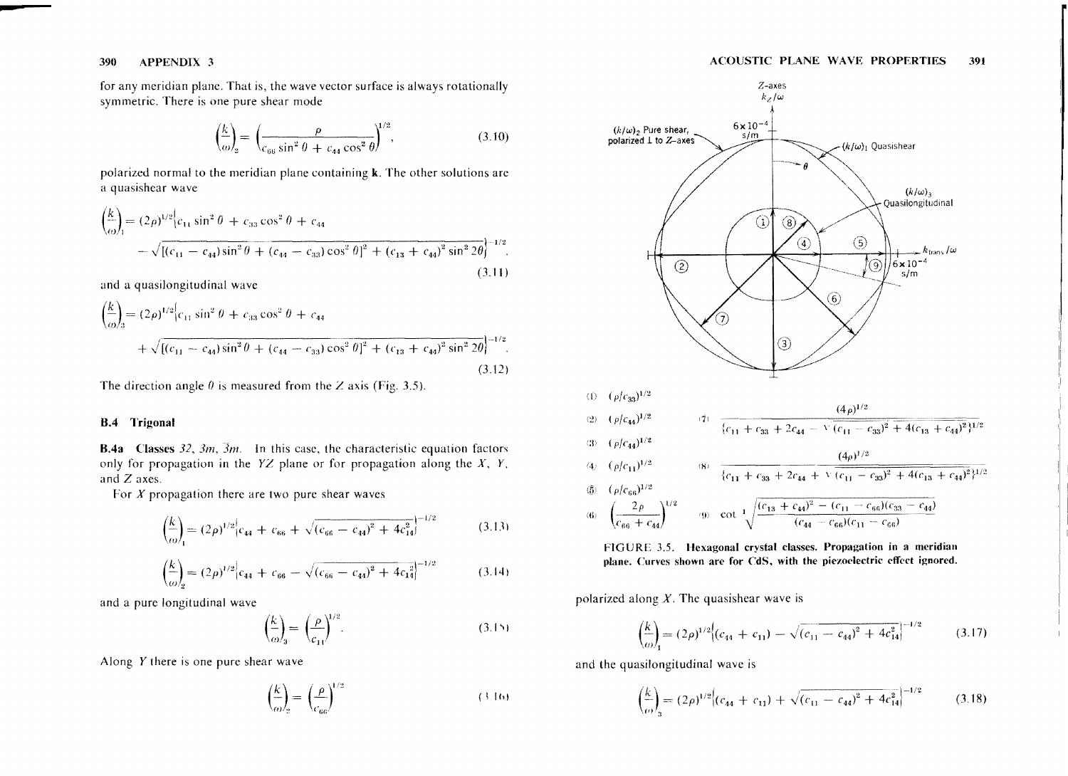for any meridian plane. That is, the wave vector surface is always rotationally symmetric. There is one pure shear mode

$$
\left(\frac{k}{\omega}\right)_2 = \left(\frac{\rho}{c_{66}\sin^2\theta + c_{44}\cos^2\theta}\right)^{1/2},\tag{3.10}
$$

polarized normal to the meridian plane containing  $k$ . The other solutions are a quasishear wave

$$
\left(\frac{k}{\omega}\right)_1 = (2\rho)^{1/2} \left[c_{11}\sin^2\theta + c_{33}\cos^2\theta + c_{44}\right] \n- \sqrt{\left[ (c_{11} - c_{44})\sin^2\theta + (c_{44} - c_{33})\cos^2\theta \right]^2 + (c_{13} + c_{44})^2 \sin^2 2\theta} \right]^{-1/2}.
$$
\n(3.11)

and a quasilongitudinal wave

$$
\left(\frac{k}{\omega}\right)_3 = (2\rho)^{1/2} \left[c_{11}\sin^2\theta + c_{33}\cos^2\theta + c_{44}\right] + \sqrt{\left[ (c_{11} - c_{44})\sin^2\theta + (c_{44} - c_{33})\cos^2\theta \right]^2 + (c_{13} + c_{44})^2 \sin^2 2\theta} \Big|^{-1/2}.
$$
\n(3.12)

The direction angle  $\theta$  is measured from the Z axis (Fig. 3.5).

#### B.4 Trigonal

**B.4a** Classes 32,  $3m$ ,  $\overline{3}m$ . In this case, the characteristic equation factors only for propagation in the  $YZ$  plane or for propagation along the  $X$ ,  $Y$ , and Z axes.

For *X* propagation there are two pure shear waves

$$
\left(\frac{k}{\omega}\right) = (2\rho)^{1/2} \left| c_{44} + c_{66} + \sqrt{(c_{66} - c_{44})^2 + 4c_{14}^2} \right|^{-1/2}
$$
\n(3.13)

$$
\left(\frac{k}{\omega}\right)_2 = (2\rho)^{1/2} \left| c_{44} + c_{66} - \sqrt{(c_{66} - c_{44})^2 + 4c_{14}^2} \right|^{-1/2}
$$
\n(3.14)

and a pure longitudinal wave

$$
\left(\frac{k}{\omega}\right)_3 = \left(\frac{\rho}{c_{11}}\right)^{1/2}.\tag{3.15}
$$

Along  $Y$  there is one pure shear wave

$$
\left(\frac{k}{\omega}\right)_2 = \left(\frac{\rho}{c_{66}}\right)^{1/2} \tag{3.16}
$$





polarized along *X.* The quasishear wave is

$$
\left(\frac{k}{\omega}\right)_1 = (2\rho)^{1/2} \left( (c_{44} + c_{11}) - \sqrt{(c_{11} - c_{44})^2 + 4c_{14}^2} \right)^{-1/2}
$$
\n(3.17)

and the quasilongitudinal wave is

$$
\left(\frac{k}{\omega}\right)_3 = (2\rho)^{1/2} \left[ (c_{44} + c_{11}) + \sqrt{(c_{11} - c_{44})^2 + 4c_{14}^2} \right]^{-1/2} \tag{3.18}
$$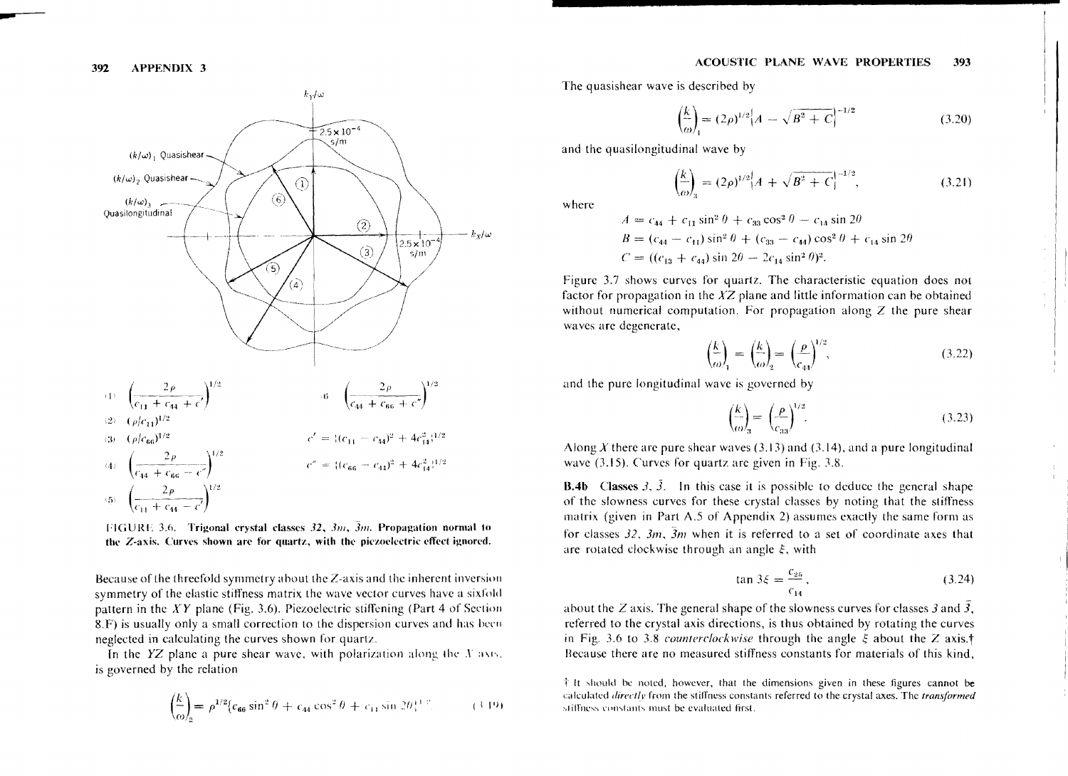

FIGURE 3.6. Trigonal crystal classes 32, 3m, 3m. Propagation normal to the Z-axis. Curves shown are for quartz, with the piczoelectric effect ignored.

Because of the threefold symmetry about the  $Z$ -axis and the inherent inversion symmetry of the elastic stiffness matrix the wave vector curves have a sixfold pattern in the  $XY$  plane (Fig. 3.6). Piezoelectric stiffening (Part 4 of Section 8.F) is usually only a small correction to the dispersion curves and has been neglected in calculating the curves shown for quartz.

In the  $YZ$  plane a pure shear wave, with polarization along the X axis. is governed by the relation

$$
\left(\frac{k}{\omega}\right)_2 = \rho^{1/2} \{c_{66} \sin^2 \theta + c_{44} \cos^2 \theta + c_{11} \sin 2\theta_i^{1/2}.\tag{3.19}
$$

The quasishear wave is described by

$$
\left(\frac{k}{\omega}\right)_1 = (2\rho)^{1/2} \left[A - \sqrt{B^2 + C}\right]^{-1/2} \tag{3.20}
$$

and the quasilongitudinal wave by

$$
\left. \frac{k}{\omega} \right|_{3} = (2\rho)^{1/2} \left[ A + \sqrt{B^2 + C} \right]^{-1/2},\tag{3.21}
$$

where

$$
A = c_{44} + c_{11} \sin^2 \theta + c_{33} \cos^2 \theta - c_{14} \sin 2\theta
$$
  
\n
$$
B = (c_{44} - c_{11}) \sin^2 \theta + (c_{33} - c_{44}) \cos^2 \theta + c_{14} \sin 2\theta
$$
  
\n
$$
C = ((c_{13} + c_{44}) \sin 2\theta - 2c_{14} \sin^2 \theta)^2.
$$

Figure 3.7 shows curves for quartz. The characteristic equation does not factor for propagation in the  $XZ$  plane and little information can be obtained without numerical computation. For propagation along  $Z$  the pure shear waves are degenerate,

$$
\left(\frac{k}{\omega}\right)_1 = \left(\frac{k}{\omega}\right)_2 = \left(\frac{\rho}{c_{44}}\right)^{1/2},\tag{3.22}
$$

and the pure longitudinal wave is governed by

$$
\left(\frac{k}{\omega}\right)_3 = \left(\frac{\rho}{c_{33}}\right)^{1/2}.\tag{3.23}
$$

Along X there are pure shear waves  $(3.13)$  and  $(3.14)$ , and a pure longitudinal wave  $(3.15)$ . Curves for quartz are given in Fig. 3.8.

**B.4b** Classes 3,  $\overline{3}$ . In this case it is possible to deduce the general shape of the slowness curves for these crystal classes by noting that the stiffness matrix (given in Part A.5 of Appendix 2) assumes exactly the same form as for classes 32,  $3m$ ,  $3m$  when it is referred to a set of coordinate axes that are rotated clockwise through an angle  $\xi$ , with

$$
\tan 3\xi = \frac{c_{25}}{c_{14}},\tag{3.24}
$$

about the Z axis. The general shape of the slowness curves for classes 3 and  $\overline{3}$ , referred to the crystal axis directions, is thus obtained by rotating the curves in Fig. 3.6 to 3.8 counterclockwise through the angle  $\xi$  about the Z axis.<sup>†</sup> Because there are no measured stiffness constants for materials of this kind.

 $\dagger$  It should be noted, however, that the dimensions given in these figures cannot be calculated *directly* from the stiffness constants referred to the crystal axes. The *transformed* stiffness constants must be evaluated first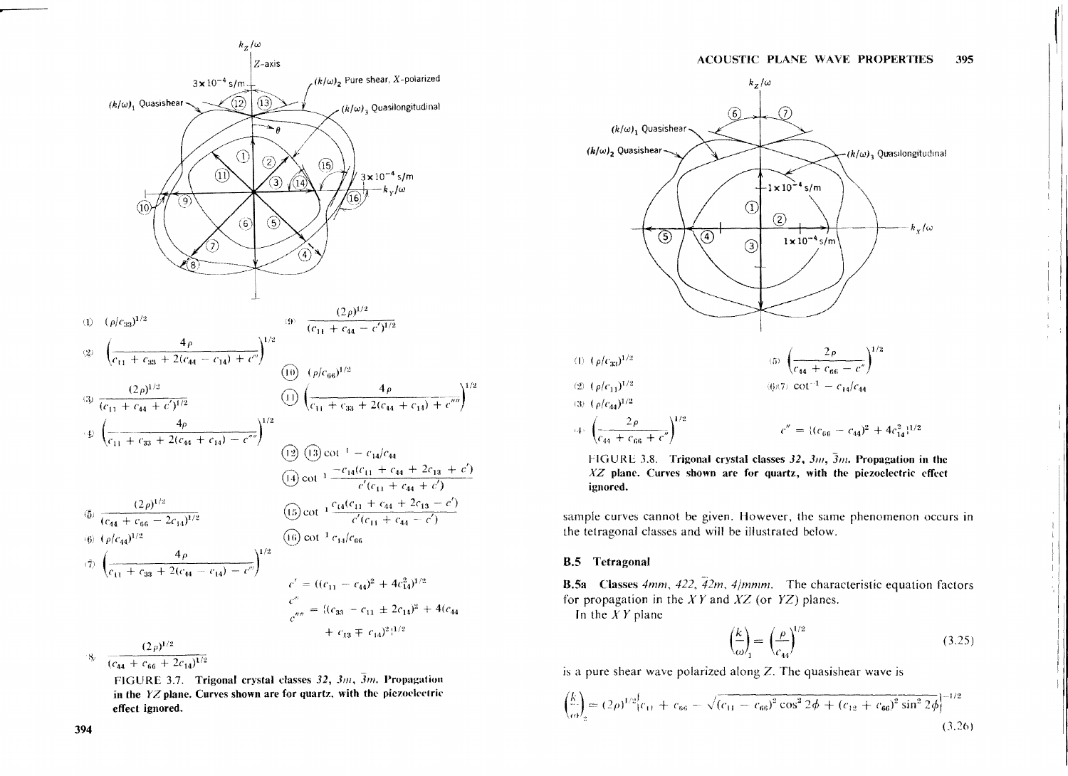

FIGURE 3.7. Trigonal crystal classes 32, 3m, 3m. Propagation in the  $YZ$  plane. Curves shown are for quartz, with the piezoelectric effect ignored.



FIGURE 3.8. Trigonal crystal classes 32,  $3m$ ,  $\overline{3}m$ . Propagation in the  $XZ$  plane. Curves shown are for quartz, with the piezoelectric effect ignored.

sample curves cannot be given. However, the same phenomenon occurs in the tetragonal classes and will be illustrated below.

#### **B.5** Tetragonal

**B.5a** Classes 4mm, 422,  $\overline{42m}$ , 4/mmm. The characteristic equation factors for propagation in the  $XY$  and  $XZ$  (or  $YZ$ ) planes.

In the  $XY$  plane

$$
\left(\frac{k}{\omega}\right)_{1} = \left(\frac{\rho}{c_{44}}\right)^{1/2} \tag{3.25}
$$

is a pure shear wave polarized along  $Z$ . The quasishear wave is

$$
\left(\frac{k}{\omega}\right)_2 = (2\rho)^{1/2} \left[c_{11} + c_{66} - \sqrt{(c_{11} - c_{66})^2 \cos^2 2\phi + (c_{12} + c_{66})^2 \sin^2 2\phi}\right]^{-1/2}
$$
\n(3.26)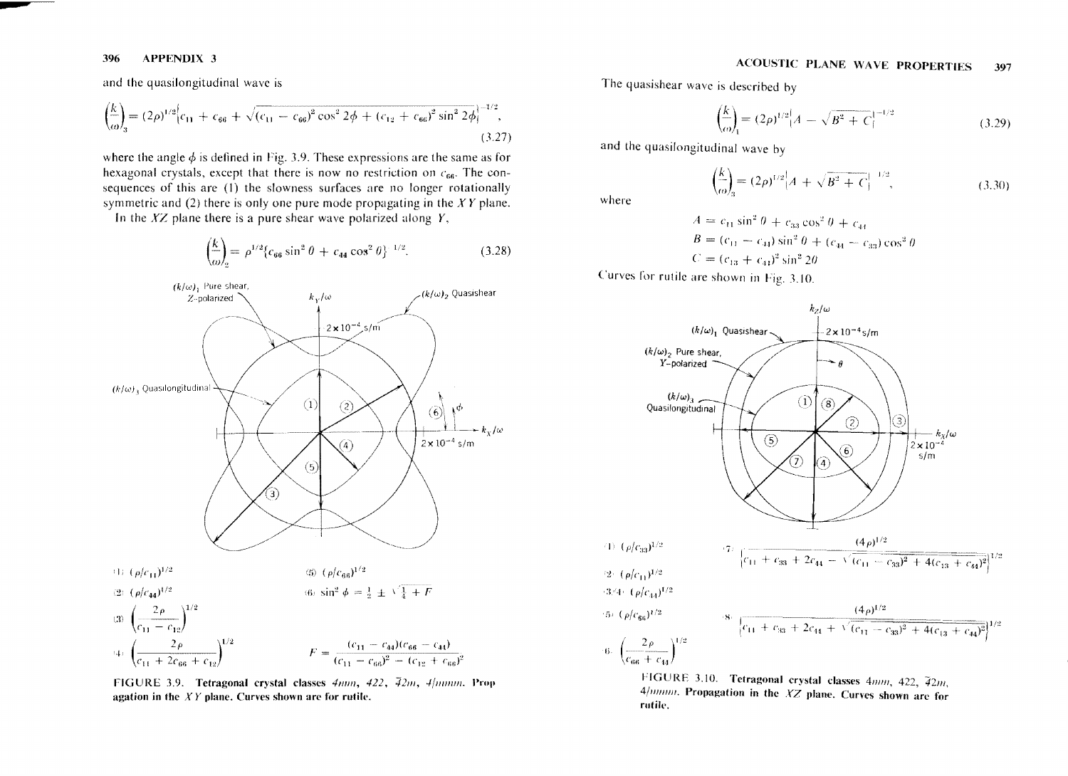and the quasilongitudinal wave is

$$
\left(\frac{k}{\omega}\right)_3 = (2\rho)^{1/2} \Big| c_{11} + c_{66} + \sqrt{(c_{11} - c_{66})^2 \cos^2 2\phi + (c_{12} + c_{66})^2 \sin^2 2\phi} \Big|^{-1/2},\tag{3.27}
$$

where the angle  $\phi$  is defined in Fig. 3.9. These expressions are the same as for hexagonal crystals, except that there is now no restriction on  $c_{66}$ . The consequences of this are (1) the slowness surfaces are no longer rotationally symmetric and  $(2)$  there is only one pure mode propagating in the XY plane.

In the  $XZ$  plane there is a pure shear wave polarized along  $Y$ ,

$$
\left(\frac{k}{\omega}\right)_2 = \rho^{1/2} \{c_{66} \sin^2 \theta + c_{44} \cos^2 \theta\}^{-1/2}.
$$
 (3.28)



FIGURE 3.9. Tetragonal crystal classes  $4mm$ ,  $422$ ,  $42m$ ,  $4/mmm$ . Prop agation in the  $XY$  plane. Curves shown are for rutile.

#### **ACOUSTIC PLANE WAVE PROPERTIES** 397

The quasishear wave is described by

$$
\left(\frac{k}{\omega}\right)_{1} = (2\rho)^{1/2} \left[A - \sqrt{B^2 + C}\right]^{-1/2}
$$
\n(3.29)

and the quasilongitudinal wave by

$$
\left(\frac{k}{\omega}\right)_3 = (2\rho)^{1/2} \left[A + \sqrt{B^2 + C}\right]^{-1/2},\tag{3.30}
$$

where

$$
A = c_{11} \sin^2 \theta + c_{33} \cos^2 \theta + c_{44}
$$
  
\n
$$
B = (c_{11} - c_{44}) \sin^2 \theta + (c_{44} - c_{33}) \cos^2 \theta
$$
  
\n
$$
C = (c_{13} + c_{44})^2 \sin^2 2\theta
$$

Curves for rutile are shown in Fig. 3.10.



FIGURE 3.10. Tetragonal crystal classes 4mm, 422, 42m,  $4$ /*mmm*. Propagation in the  $XZ$  plane. Curves shown are for rutile.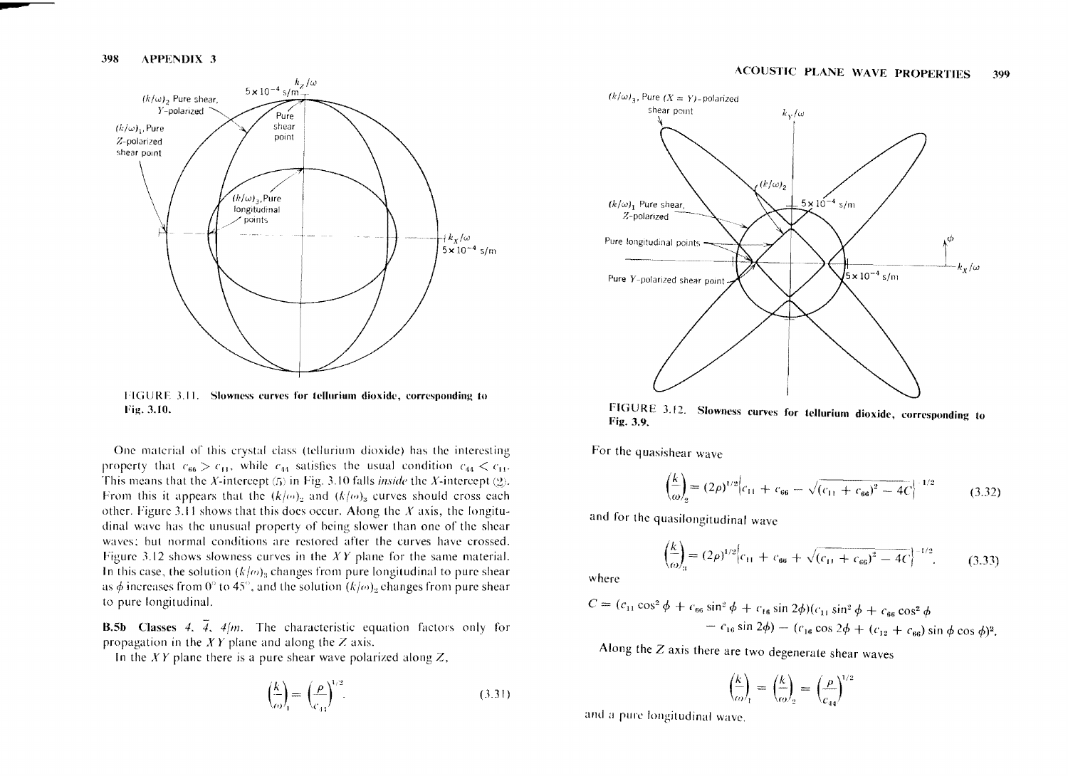

IIGURF ],11. Slowness curves for tellurium dioxide, corresponding to Fig. 3.10.

One material of this crystal class (tellurium dioxide) has the interesting property that  $c_{66} > c_{11}$ , while  $c_{44}$  satisfies the usual condition  $c_{44} < c_{11}$ . This means that the *X*-intercept  $(5)$  in Fig. 3.10 falls *inside* the *X*-intercept  $(2)$ . From this it appears that the  $(k/\omega)_2$  and  $(k/\omega)_3$  curves should cross each other. Figure 3.11 shows that this does occur. Along the *X* axis, the longitudinal wave has the unusual property of heing slower than one of the shear waves; hut normal conditions are restored after the curves have crossed. Figure 3.12 shows slowness curves in the *XY* plane for the same material. In this case, the solution  $(k/\omega)_{3}$  changes from pure longitudinal to pure shear as  $\phi$  increases from 0° to 45°, and the solution  $(k/\omega)_{2}$  changes from pure shear to pure longitudinal.

**B.5b** Classes 4.  $\overline{4}$ , 4/m. The characteristic equation factors only for propagation in the  $XY$  plane and along the Z axis.

In the  $XY$  plane there is a pure shear wave polarized along  $Z$ ,

$$
\left(\frac{k}{\omega}\right)_{1} = \left(\frac{\rho}{c_{11}}\right)^{1/2}.\tag{3.31}
$$



FIGURE 3.12. Slowness curves for tellurium dioxide, corresponding to Fig. 3.9.

For thc quasishear wave

$$
\left(\frac{k}{\omega}\right)_2 = (2\rho)^{1/2} \left| c_{11} + c_{66} - \sqrt{(c_{11} + c_{66})^2 - 4C} \right|^{-1/2}
$$
\n(3.32)

and for the quasilongitudinal wavc

$$
\left(\frac{k}{\omega}\right)_3 = (2\rho)^{1/2} \left(c_{11} + c_{66} + \sqrt{(c_{11} + c_{66})^2 - 4C}\right)^{-1/2}.
$$
 (3.33)

where

$$
C = (c_{11} \cos^2 \phi + c_{66} \sin^2 \phi + c_{16} \sin 2\phi)(c_{11} \sin^2 \phi + c_{66} \cos^2 \phi - c_{16} \sin 2\phi) - (c_{16} \cos 2\phi + (c_{12} + c_{66}) \sin \phi \cos \phi)^2.
$$

Along the Z axis there are two degenerate shear waves

$$
\left(\frac{k}{\omega}\right)_1 = \left(\frac{k}{\omega}\right)_2 = \left(\frac{\rho}{c_{44}}\right)^{1/2}
$$

and a pure longitudinal wave.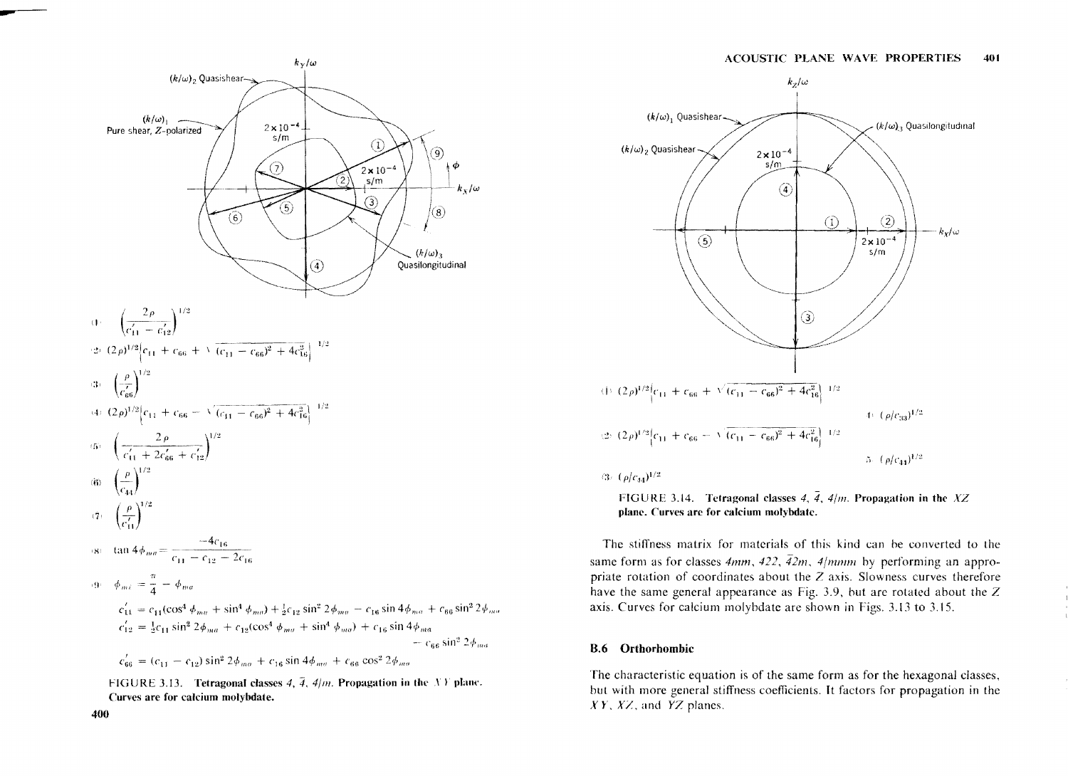

FIGURE 3.13. Tetragonal classes 4,  $\overline{4}$ , 4/m. Propagation in the XY plane. Curves are for calcium molybdate.





FIGURE 3.14. Tetragonal classes 4,  $\overline{4}$ , 4/m. Propagation in the XZ

plane. Curves are for calcium molybdate.

The stiffness matrix for materials of this kind can be converted to the same form as for classes  $4mm$ ,  $422$ ,  $42m$ ,  $4/mmm$  by performing an appropriate rotation of coordinates about the Z axis. Slowness curves therefore have the same general appearance as Fig. 3.9, but are rotated about the  $Z$ axis. Curves for calcium molybdate are shown in Figs. 3.13 to 3.15.

#### **B.6** Orthorhombic

The characteristic equation is of the same form as for the hexagonal classes, but with more general stiffness coefficients. It factors for propagation in the  $XY$ ,  $XZ$ , and  $YZ$  planes.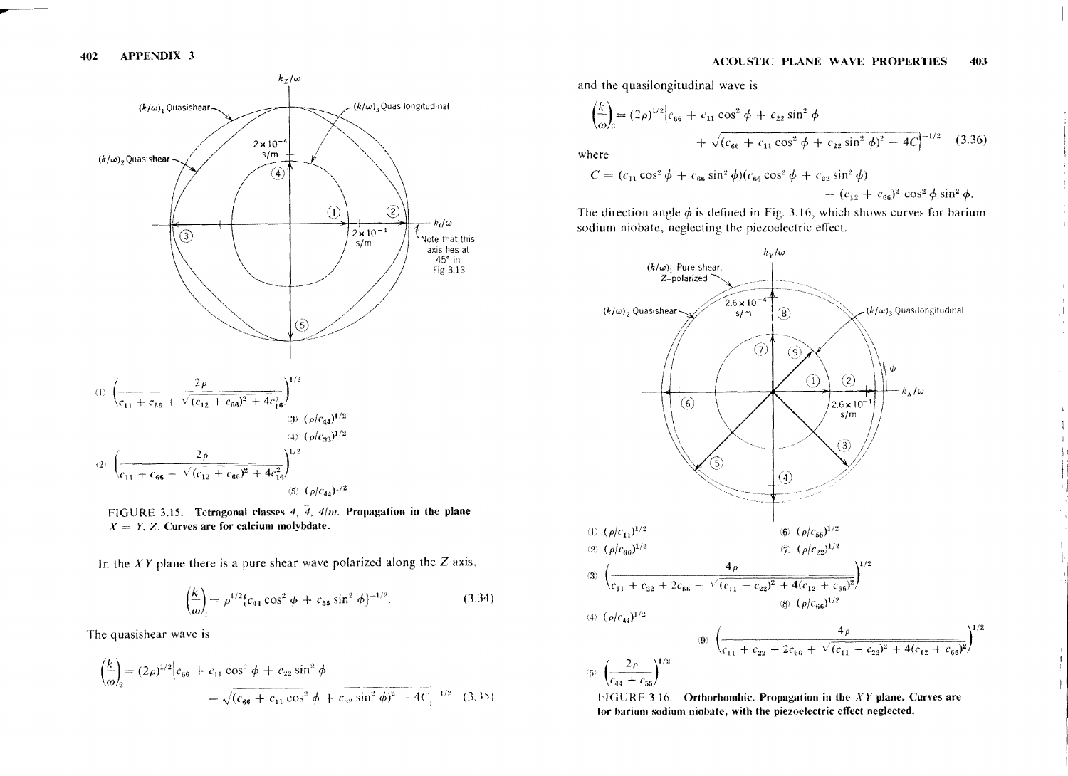

FIGURE 3.15. Tetragonal classes 4,  $\tilde{4}$ , 4/m. Propagation in the plane  $X = Y$ , Z. Curves are for calcium molybdate.

In the  $XY$  plane there is a pure shear wave polarized along the  $Z$  axis,

$$
\left(\frac{k}{\omega}\right)_1 = \rho^{1/2} \{c_{44} \cos^2 \phi + c_{55} \sin^2 \phi\}^{-1/2}.
$$
 (3.34)

The quasishear wave is

$$
\left(\frac{k}{\omega}\right)_2 = (2\rho)^{1/2} \left[c_{66} + c_{11} \cos^2 \phi + c_{22} \sin^2 \phi - \sqrt{(c_{66} + c_{11} \cos^2 \phi + c_{22} \sin^2 \phi)^2 - 4C}\right]^{1/2} (3.35)
$$

and the quasilongitudinal wave is

$$
\left(\frac{k}{\omega}\right) = (2\rho)^{1/2} \left[c_{66} + c_{11}\cos^2\phi + c_{22}\sin^2\phi\right] + \sqrt{(c_{66} + c_{11}\cos^2\phi + c_{22}\sin^2\phi)^2 - 4C}\left|^{-1/2} \right]
$$
(3.36)

where

$$
C = (c_{11} \cos^2 \phi + c_{66} \sin^2 \phi)(c_{66} \cos^2 \phi + c_{22} \sin^2 \phi) - (c_{12} + c_{66})^2 \cos^2 \phi \sin^2 \phi.
$$

The direction angle  $\phi$  is defined in Fig. 3.16, which shows curves for barium sodium niobate, neglecting the piezoelectric effect.



**FIGURE 3.16.** Orthorhombic. Propagation in the  $XY$  plane. Curves are for barium sodium niobate, with the piezoelectric effect neglected.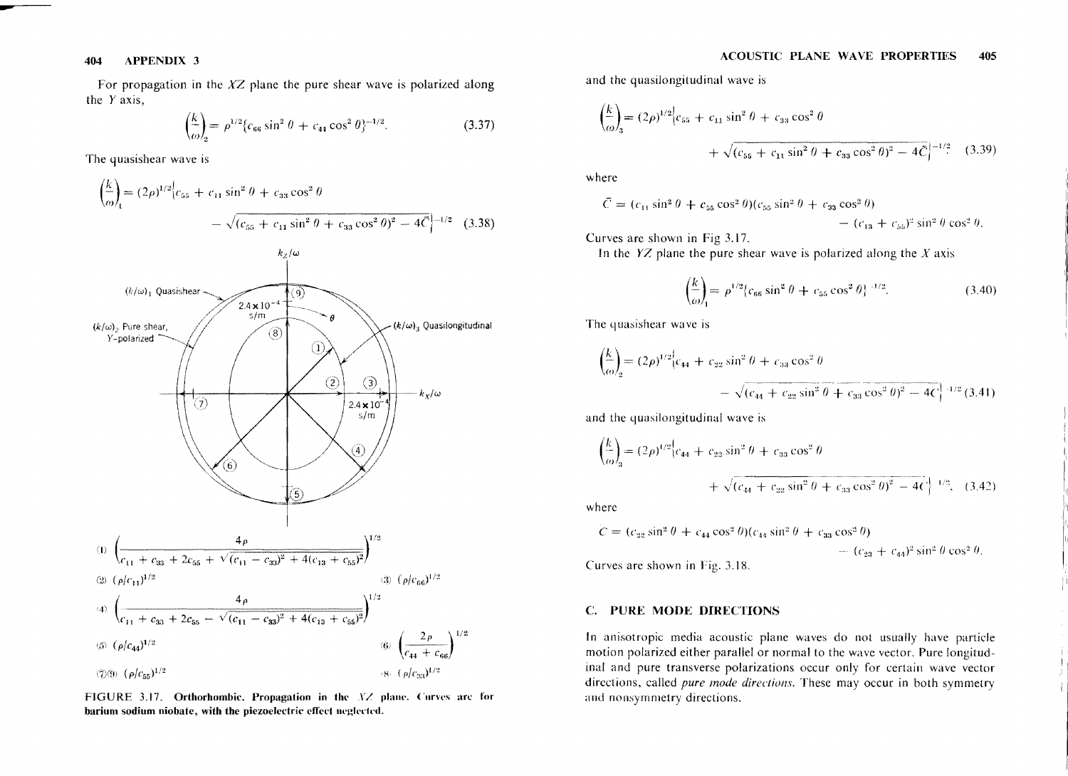For propagation in the  $XZ$  plane the pure shear wave is polarized along the *Y* axis,

$$
\left(\frac{k}{\omega}\right)_2 = \rho^{1/2} \{c_{66} \sin^2 \theta + c_{44} \cos^2 \theta\}^{-1/2}.
$$
 (3.37)

The quasishear wave is

$$
\left(\frac{k}{\omega}\right) = (2\rho)^{1/2} \left[c_{55} + c_{11} \sin^2 \theta + c_{33} \cos^2 \theta \right]
$$

$$
- \sqrt{(c_{55} + c_{11} \sin^2 \theta + c_{33} \cos^2 \theta)^2 - 4\vec{C}}\right]^{-1/2} \quad (3.38)
$$



FIGURE 3.17. Orthorhombic. Propagation in the XZ plane. Curves are for barium sodium niobate, with the piezoelectric effect neglected.

ACOUSTIC PLANE WAVE PROPERTIES 405

and thc quasilongitudinal wave is

$$
\left(\frac{k}{\omega}\right)_3 = (2\rho)^{1/2} \left| c_{55} + c_{11} \sin^2 \theta + c_{33} \cos^2 \theta \right.
$$
  
+  $\sqrt{(c_{55} + c_{11} \sin^2 \theta + c_{33} \cos^2 \theta)^2 - 4\bar{C}} \right|^{-1/2}$  (3.39)

where

$$
\bar{C} = (c_{11} \sin^2 \theta + c_{55} \cos^2 \theta)(c_{55} \sin^2 \theta + c_{33} \cos^2 \theta) - (c_{13} + c_{55})^2 \sin^2 \theta \cos^2 \theta.
$$

Curves are shown in Fig 3.17.

In the *YZ* plane the pure shear wave is polarized along the *X* axis

$$
\left(\frac{k}{\omega}\right)_1 = \rho^{1/2} \{c_{66} \sin^2 \theta + c_{55} \cos^2 \theta\}^{-1/2}.
$$
 (3.40)

The quasishear wave is

$$
\left(\frac{k}{\omega}\right)_2 = (2\rho)^{1/2} \left[c_{44} + c_{22} \sin^2 \theta + c_{33} \cos^2 \theta - \sqrt{(c_{44} + c_{22} \sin^2 \theta + c_{33} \cos^2 \theta)^2 - 4C}\right]^{-1/2} (3.41)
$$

and the quasilongitudinal wave is

$$
\left(\frac{k}{\omega}\right)_3 = (2\rho)^{1/2} \left| c_{44} + c_{22} \sin^2 \theta + c_{33} \cos^2 \theta \right|
$$
  
+  $\sqrt{(c_{44} + c_{22} \sin^2 \theta + c_{33} \cos^2 \theta)^2 - 4C} \left| \right|^{1/2}$ , (3.42)

where

$$
C = (c_{23} \sin^2 \theta + c_{44} \cos^2 \theta)(c_{44} \sin^2 \theta + c_{33} \cos^2 \theta) - (c_{23} + c_{44})^2 \sin^2 \theta \cos^2 \theta.
$$

Curves are shown in Fig. 3.18.

#### C. PURE MODE DIRECTIONS

In anisotropic media acoustic planc waves do not usually have particle motion polarized either parallel or normal to the wavc vector. Pure longitudinal and pure transverse polarizations occur only for certain wave vector directions, called *pure mode directions.* These may occur in both symmetry and nonsymmetry directions.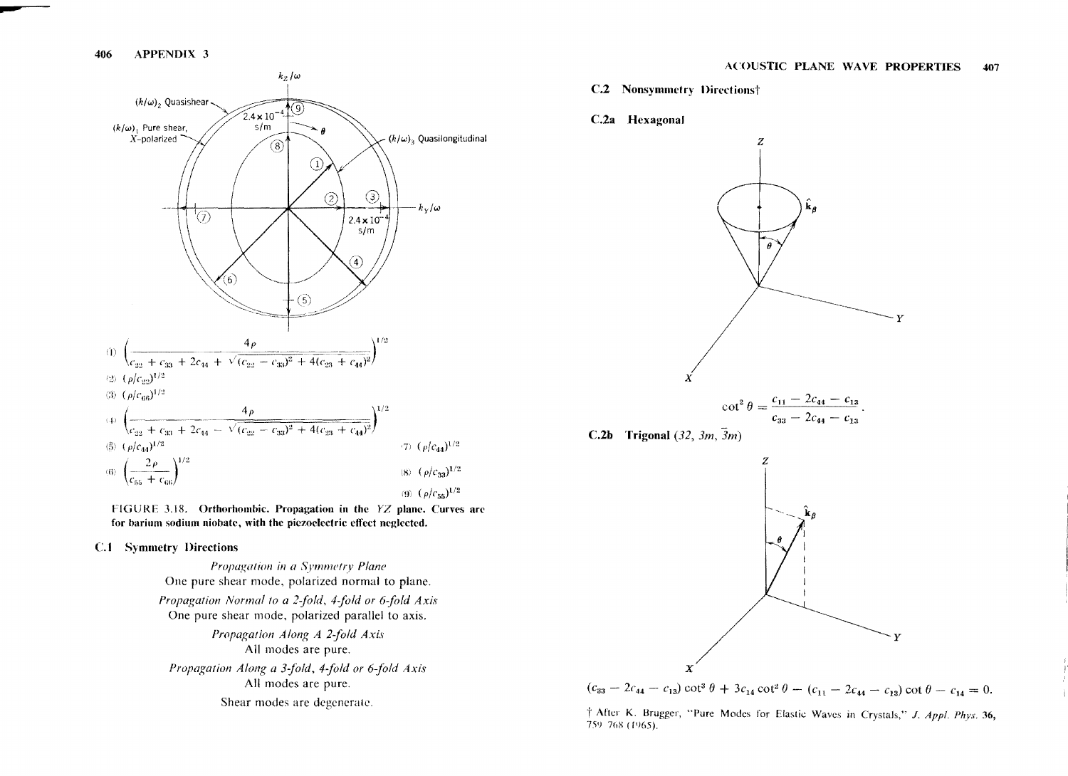

FIGURE 3.18. Orthorhombic. Propagation in the YZ plane. Curves are for barium sodium niobate, with the piezoelectric effect neglected.

#### **C.1** Symmetry Directions

Propagation in a Symmetry Plane One pure shear mode, polarized normal to plane. Propagation Normal to a 2-fold, 4-fold or 6-fold Axis One pure shear mode, polarized parallel to axis. Propagation Along A 2-fold Axis All modes are pure. Propagation Along a 3-fold, 4-fold or 6-fold Axis All modes are pure. Shear modes are degenerate.

- **C.2** Nonsymmetry Directions†
- C.2a Hexagonal



$$
\cot^2\theta=\frac{c_{11}-2c_{44}-c_{13}}{c_{33}-2c_{44}-c_{13}}.
$$

C.2b Trigonal (32,  $3m$ ,  $\overline{3}m$ )





† After K. Brugger, "Pure Modes for Elastic Waves in Crystals," J. Appl. Phys. 36, 759-768 (1965).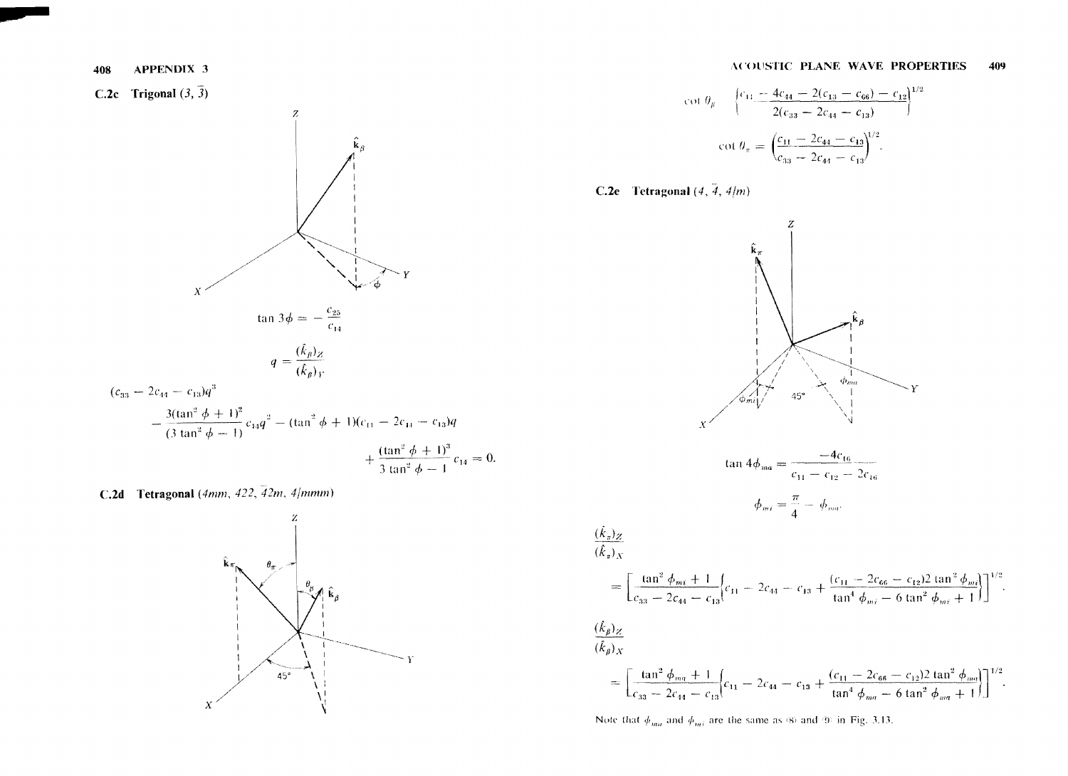C.2c Trigonal  $(3, 3)$ 



C.2d Tetragonal (4mm, 422,  $\overline{42m}$ , 4/mmm)



$$
\cot \theta_{\beta} = \left\{ \frac{c_{11} - 4c_{44} - 2(c_{13} - c_{66}) - c_{12}}{2(c_{33} - 2c_{44} - c_{13})} \right\}^{1/2}
$$

$$
\cot \theta_{\pi} = \left( \frac{c_{11} - 2c_{44} - c_{13}}{c_{33} - 2c_{44} - c_{13}} \right)^{1/2}.
$$



 $\frac{(\dot{k}_\pi)_Z}{(\hat{k}_\pi)_X}$ 

 $\frac{(\hat{k}_\beta)_Z}{(\hat{k}_\beta)_X}$ 



Note that  $\phi_{ma}$  and  $\phi_{mi}$  are the same as (8) and (9) in Fig. 3.13.